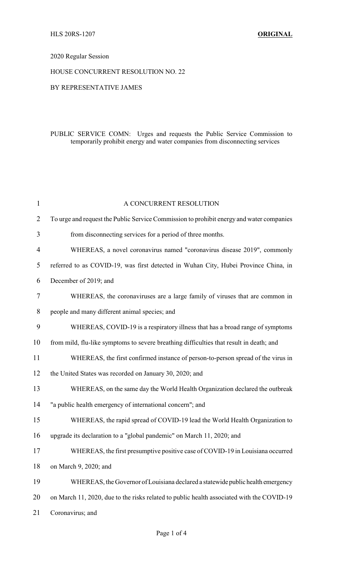# 2020 Regular Session

#### HOUSE CONCURRENT RESOLUTION NO. 22

### BY REPRESENTATIVE JAMES

# PUBLIC SERVICE COMN: Urges and requests the Public Service Commission to temporarily prohibit energy and water companies from disconnecting services

| $\mathbf{1}$   | A CONCURRENT RESOLUTION                                                                   |
|----------------|-------------------------------------------------------------------------------------------|
| $\overline{2}$ | To urge and request the Public Service Commission to prohibit energy and water companies  |
| 3              | from disconnecting services for a period of three months.                                 |
| 4              | WHEREAS, a novel coronavirus named "coronavirus disease 2019", commonly                   |
| 5              | referred to as COVID-19, was first detected in Wuhan City, Hubei Province China, in       |
| 6              | December of 2019; and                                                                     |
| 7              | WHEREAS, the coronaviruses are a large family of viruses that are common in               |
| 8              | people and many different animal species; and                                             |
| 9              | WHEREAS, COVID-19 is a respiratory illness that has a broad range of symptoms             |
| 10             | from mild, flu-like symptoms to severe breathing difficulties that result in death; and   |
| 11             | WHEREAS, the first confirmed instance of person-to-person spread of the virus in          |
| 12             | the United States was recorded on January 30, 2020; and                                   |
| 13             | WHEREAS, on the same day the World Health Organization declared the outbreak              |
| 14             | "a public health emergency of international concern"; and                                 |
| 15             | WHEREAS, the rapid spread of COVID-19 lead the World Health Organization to               |
| 16             | upgrade its declaration to a "global pandemic" on March 11, 2020; and                     |
| 17             | WHEREAS, the first presumptive positive case of COVID-19 in Louisiana occurred            |
| 18             | on March 9, 2020; and                                                                     |
| 19             | WHEREAS, the Governor of Louisiana declared a statewide public health emergency           |
| 20             | on March 11, 2020, due to the risks related to public health associated with the COVID-19 |
| 21             | Coronavirus; and                                                                          |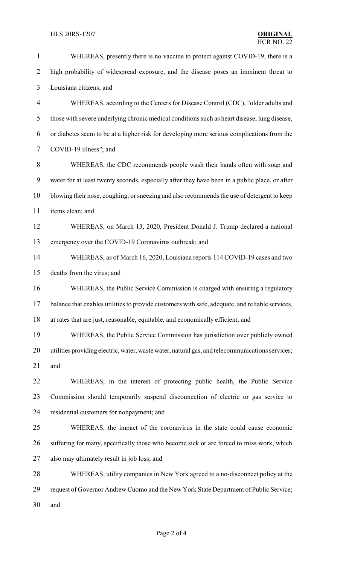| $\mathbf{1}$             | WHEREAS, presently there is no vaccine to protect against COVID-19, there is a                  |
|--------------------------|-------------------------------------------------------------------------------------------------|
| $\overline{2}$           | high probability of widespread exposure, and the disease poses an imminent threat to            |
| 3                        | Louisiana citizens; and                                                                         |
| $\overline{\mathcal{A}}$ | WHEREAS, according to the Centers for Disease Control (CDC), "older adults and                  |
| 5                        | those with severe underlying chronic medical conditions such as heart disease, lung disease,    |
| 6                        | or diabetes seem to be at a higher risk for developing more serious complications from the      |
| $\overline{7}$           | COVID-19 illness"; and                                                                          |
| 8                        | WHEREAS, the CDC recommends people wash their hands often with soap and                         |
| 9                        | water for at least twenty seconds, especially after they have been in a public place, or after  |
| 10                       | blowing their nose, coughing, or sneezing and also recommends the use of detergent to keep      |
| 11                       | items clean; and                                                                                |
| 12                       | WHEREAS, on March 13, 2020, President Donald J. Trump declared a national                       |
| 13                       | emergency over the COVID-19 Coronavirus outbreak; and                                           |
| 14                       | WHEREAS, as of March 16, 2020, Louisiana reports 114 COVID-19 cases and two                     |
| 15                       | deaths from the virus; and                                                                      |
| 16                       | WHEREAS, the Public Service Commission is charged with ensuring a regulatory                    |
| 17                       | balance that enables utilities to provide customers with safe, adequate, and reliable services, |
| 18                       | at rates that are just, reasonable, equitable, and economically efficient; and                  |
| 19                       | WHEREAS, the Public Service Commission has jurisdiction over publicly owned                     |
| 20                       | utilities providing electric, water, waste water, natural gas, and telecommunications services; |
| 21                       | and                                                                                             |
| 22                       | WHEREAS, in the interest of protecting public health, the Public Service                        |
| 23                       | Commission should temporarily suspend disconnection of electric or gas service to               |
| 24                       | residential customers for nonpayment; and                                                       |
| 25                       | WHEREAS, the impact of the coronavirus in the state could cause economic                        |
| 26                       | suffering for many, specifically those who become sick or are forced to miss work, which        |
| 27                       | also may ultimately result in job loss; and                                                     |
| 28                       | WHEREAS, utility companies in New York agreed to a no-disconnect policy at the                  |
| 29                       | request of Governor Andrew Cuomo and the New York State Department of Public Service;           |
| 30                       | and                                                                                             |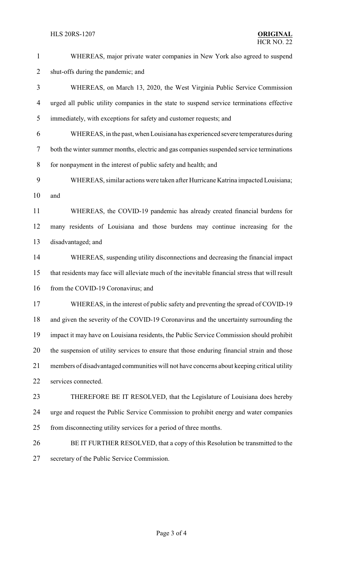WHEREAS, major private water companies in New York also agreed to suspend shut-offs during the pandemic; and WHEREAS, on March 13, 2020, the West Virginia Public Service Commission urged all public utility companies in the state to suspend service terminations effective immediately, with exceptions for safety and customer requests; and WHEREAS, in the past, when Louisiana has experienced severe temperatures during both the winter summer months, electric and gas companies suspended service terminations for nonpayment in the interest of public safety and health; and WHEREAS, similar actions were taken after Hurricane Katrina impacted Louisiana; and WHEREAS, the COVID-19 pandemic has already created financial burdens for many residents of Louisiana and those burdens may continue increasing for the disadvantaged; and WHEREAS, suspending utility disconnections and decreasing the financial impact that residents may face will alleviate much of the inevitable financial stress that will result 16 from the COVID-19 Coronavirus; and WHEREAS, in the interest of public safety and preventing the spread of COVID-19 and given the severity of the COVID-19 Coronavirus and the uncertainty surrounding the impact it may have on Louisiana residents, the Public Service Commission should prohibit the suspension of utility services to ensure that those enduring financial strain and those members of disadvantaged communities will not have concerns about keeping critical utility services connected. THEREFORE BE IT RESOLVED, that the Legislature of Louisiana does hereby urge and request the Public Service Commission to prohibit energy and water companies from disconnecting utility services for a period of three months. BE IT FURTHER RESOLVED, that a copy of this Resolution be transmitted to the secretary of the Public Service Commission.